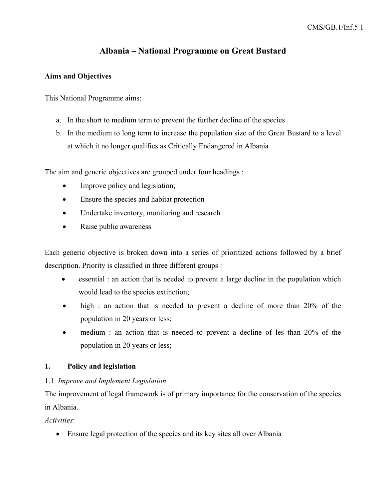# **Albania – National Programme on Great Bustard**

### **Aims and Objectives**

This National Programme aims:

- a. In the short to medium term to prevent the further decline of the species
- b. In the medium to long term to increase the population size of the Great Bustard to a level at which it no longer qualifies as Critically Endangered in Albania

The aim and generic objectives are grouped under four headings :

- Improve policy and legislation;
- Ensure the species and habitat protection
- Undertake inventory, monitoring and research
- Raise public awareness

Each generic objective is broken down into a series of prioritized actions followed by a brief description. Priority is classified in three different groups :

- essential : an action that is needed to prevent a large decline in the population which would lead to the species extinction;
- high : an action that is needed to prevent a decline of more than 20% of the population in 20 years or less;
- medium : an action that is needed to prevent a decline of les than 20% of the population in 20 years or less;

# **1. Policy and legislation**

# 1.1. *Improve and Implement Legislation*

The improvement of legal framework is of primary importance for the conservation of the species in Albania.

*Activities*:

• Ensure legal protection of the species and its key sites all over Albania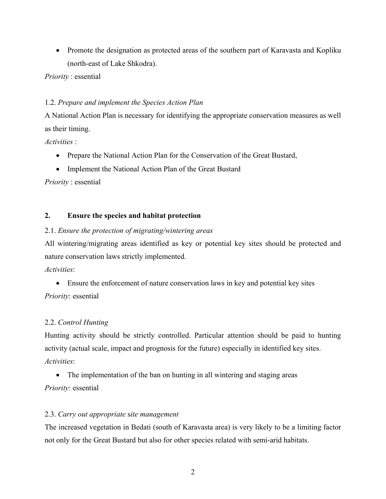• Promote the designation as protected areas of the southern part of Karavasta and Kopliku (north-east of Lake Shkodra).

*Priority* : essential

# 1.2. *Prepare and implement the Species Action Plan*

A National Action Plan is necessary for identifying the appropriate conservation measures as well as their timing.

*Activities* :

- Prepare the National Action Plan for the Conservation of the Great Bustard,
- Implement the National Action Plan of the Great Bustard

*Priority* : essential

# **2. Ensure the species and habitat protection**

### 2.1. *Ensure the protection of migrating/wintering areas*

All wintering/migrating areas identified as key or potential key sites should be protected and nature conservation laws strictly implemented.

*Activities*:

• Ensure the enforcement of nature conservation laws in key and potential key sites *Priority*: essential

# 2.2. *Control Hunting*

Hunting activity should be strictly controlled. Particular attention should be paid to hunting activity (actual scale, impact and prognosis for the future) especially in identified key sites. *Activities*:

• The implementation of the ban on hunting in all wintering and staging areas *Priority*: essential

# 2.3. *Carry out appropriate* s*ite management*

The increased vegetation in Bedati (south of Karavasta area) is very likely to be a limiting factor not only for the Great Bustard but also for other species related with semi-arid habitats.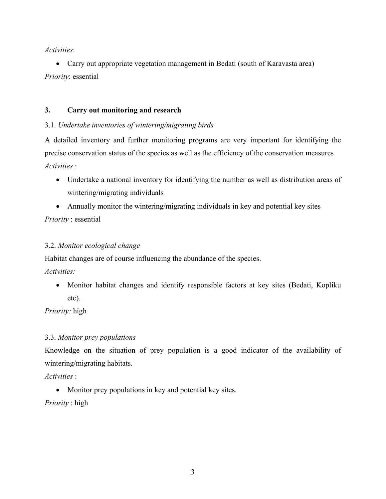*Activities*:

• Carry out appropriate vegetation management in Bedati (south of Karavasta area) *Priority*: essential

#### **3. Carry out monitoring and research**

### 3.1. *Undertake inventories of wintering/migrating birds*

A detailed inventory and further monitoring programs are very important for identifying the precise conservation status of the species as well as the efficiency of the conservation measures *Activities* :

• Undertake a national inventory for identifying the number as well as distribution areas of wintering/migrating individuals

• Annually monitor the wintering/migrating individuals in key and potential key sites *Priority* : essential

### 3.2. *Monitor ecological change*

Habitat changes are of course influencing the abundance of the species.

*Activities:*

• Monitor habitat changes and identify responsible factors at key sites (Bedati, Kopliku etc).

*Priority:* high

### 3.3. *Monitor prey populations*

Knowledge on the situation of prey population is a good indicator of the availability of wintering/migrating habitats.

*Activities* :

• Monitor prey populations in key and potential key sites.

*Priority* : high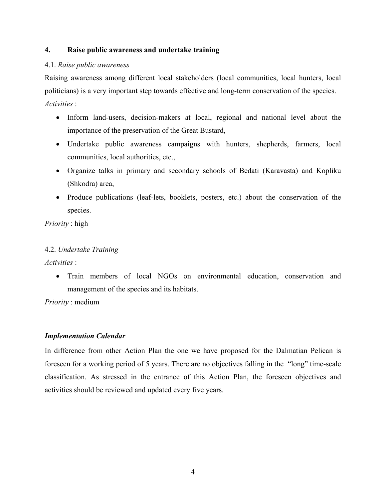### **4. Raise public awareness and undertake training**

### 4.1. *Raise public awareness*

Raising awareness among different local stakeholders (local communities, local hunters, local politicians) is a very important step towards effective and long-term conservation of the species. *Activities* :

- Inform land-users, decision-makers at local, regional and national level about the importance of the preservation of the Great Bustard,
- Undertake public awareness campaigns with hunters, shepherds, farmers, local communities, local authorities, etc.,
- Organize talks in primary and secondary schools of Bedati (Karavasta) and Kopliku (Shkodra) area,
- Produce publications (leaf-lets, booklets, posters, etc.) about the conservation of the species.

*Priority* : high

### 4.2. *Undertake Training*

*Activities* :

• Train members of local NGOs on environmental education, conservation and management of the species and its habitats.

*Priority* : medium

# *Implementation Calendar*

In difference from other Action Plan the one we have proposed for the Dalmatian Pelican is foreseen for a working period of 5 years. There are no objectives falling in the "long" time-scale classification. As stressed in the entrance of this Action Plan, the foreseen objectives and activities should be reviewed and updated every five years.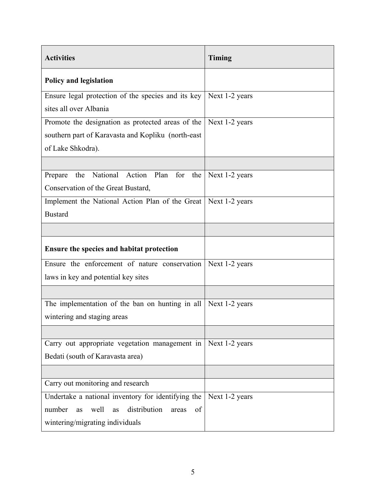| <b>Activities</b>                                                | Timing         |
|------------------------------------------------------------------|----------------|
| <b>Policy and legislation</b>                                    |                |
| Ensure legal protection of the species and its key               | Next 1-2 years |
| sites all over Albania                                           |                |
| Promote the designation as protected areas of the                | Next 1-2 years |
| southern part of Karavasta and Kopliku (north-east)              |                |
| of Lake Shkodra).                                                |                |
|                                                                  |                |
| National Action Plan for the<br>Prepare<br>the                   | Next 1-2 years |
| Conservation of the Great Bustard,                               |                |
| Implement the National Action Plan of the Great   Next 1-2 years |                |
| <b>Bustard</b>                                                   |                |
|                                                                  |                |
| Ensure the species and habitat protection                        |                |
| Ensure the enforcement of nature conservation                    | Next 1-2 years |
| laws in key and potential key sites                              |                |
|                                                                  |                |
| The implementation of the ban on hunting in all                  | Next 1-2 years |
| wintering and staging areas                                      |                |
|                                                                  |                |
| Carry out appropriate vegetation management in                   | Next 1-2 years |
| Bedati (south of Karavasta area)                                 |                |
|                                                                  |                |
| Carry out monitoring and research                                |                |
| Undertake a national inventory for identifying the               | Next 1-2 years |
| number<br>well<br>distribution<br>as<br>of<br>as<br>areas        |                |
| wintering/migrating individuals                                  |                |